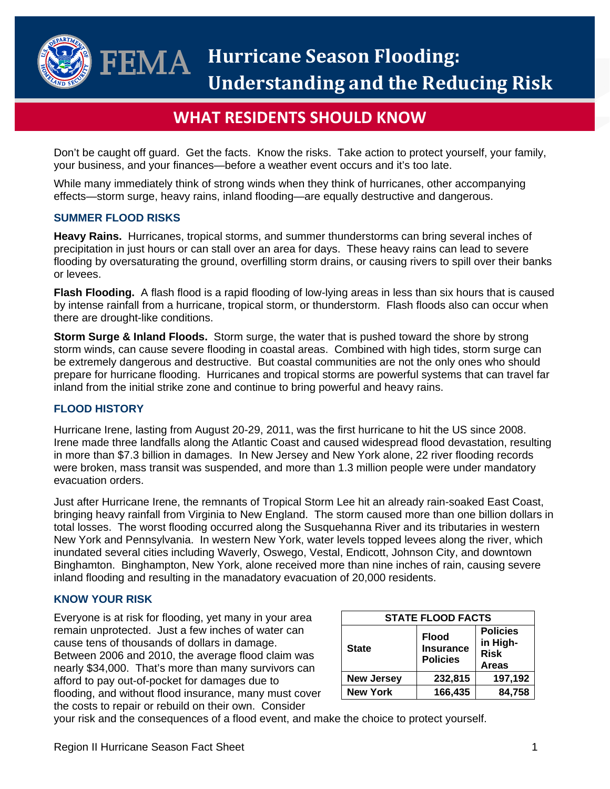

# **WHAT RESIDENTS SHOULD KNOW**

Don't be caught off guard. Get the facts. Know the risks. Take action to protect yourself, your family, your business, and your finances—before a weather event occurs and it's too late.

While many immediately think of strong winds when they think of hurricanes, other accompanying effects—storm surge, heavy rains, inland flooding—are equally destructive and dangerous.

## **SUMMER FLOOD RISKS**

**Heavy Rains.** Hurricanes, tropical storms, and summer thunderstorms can bring several inches of precipitation in just hours or can stall over an area for days. These heavy rains can lead to severe flooding by oversaturating the ground, overfilling storm drains, or causing rivers to spill over their banks or levees.

**Flash Flooding.** A flash flood is a rapid flooding of low-lying areas in less than six hours that is caused by intense rainfall from a hurricane, tropical storm, or thunderstorm. Flash floods also can occur when there are drought-like conditions.

**Storm Surge & Inland Floods.** Storm surge, the water that is pushed toward the shore by strong storm winds, can cause severe flooding in coastal areas. Combined with high tides, storm surge can be extremely dangerous and destructive. But coastal communities are not the only ones who should prepare for hurricane flooding. Hurricanes and tropical storms are powerful systems that can travel far inland from the initial strike zone and continue to bring powerful and heavy rains.

# **FLOOD HISTORY**

Hurricane Irene, lasting from August 20-29, 2011, was the first hurricane to hit the US since 2008. Irene made three landfalls along the Atlantic Coast and caused widespread flood devastation, resulting in more than \$7.3 billion in damages. In New Jersey and New York alone, 22 river flooding records were broken, mass transit was suspended, and more than 1.3 million people were under mandatory evacuation orders.

Just after Hurricane Irene, the remnants of Tropical Storm Lee hit an already rain-soaked East Coast, bringing heavy rainfall from Virginia to New England. The storm caused more than one billion dollars in total losses. The worst flooding occurred along the Susquehanna River and its tributaries in western New York and Pennsylvania. In western New York, water levels topped levees along the river, which inundated several cities including Waverly, Oswego, Vestal, Endicott, Johnson City, and downtown Binghamton. Binghampton, New York, alone received more than nine inches of rain, causing severe inland flooding and resulting in the manadatory evacuation of 20,000 residents.

## **KNOW YOUR RISK**

Everyone is at risk for flooding, yet many in your area remain unprotected. Just a few inches of water can cause tens of thousands of dollars in damage. Between 2006 and 2010, the average flood claim was nearly \$34,000. That's more than many survivors can afford to pay out-of-pocket for damages due to flooding, and without flood insurance, many must cover the costs to repair or rebuild on their own. Consider

| <b>STATE FLOOD FACTS</b> |                                                     |                                                            |
|--------------------------|-----------------------------------------------------|------------------------------------------------------------|
| <b>State</b>             | <b>Flood</b><br><b>Insurance</b><br><b>Policies</b> | <b>Policies</b><br>in High-<br><b>Risk</b><br><b>Areas</b> |
| <b>New Jersey</b>        | 232,815                                             | 197,192                                                    |
| <b>New York</b>          | 166,435                                             | 84,758                                                     |

your risk and the consequences of a flood event, and make the choice to protect yourself.